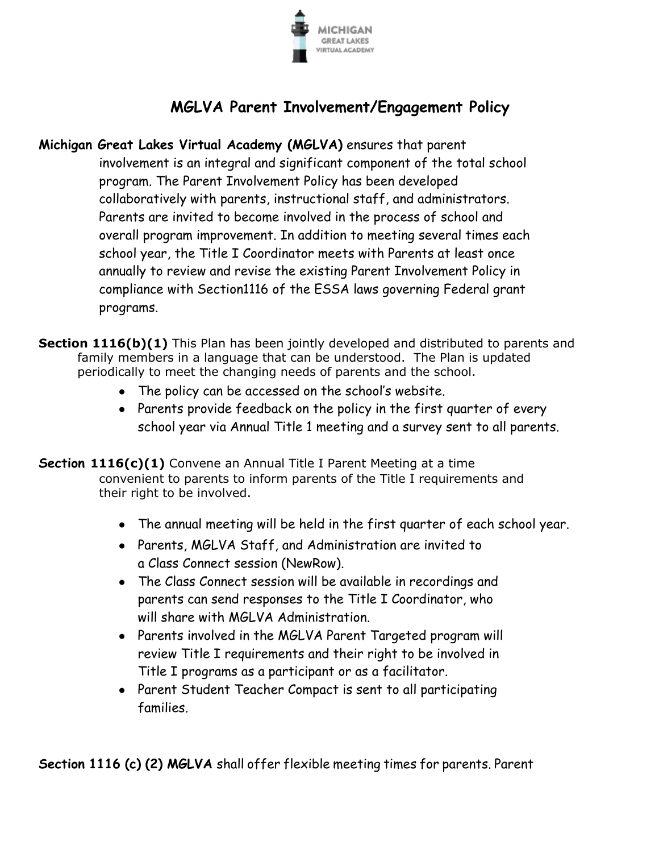

## **MGLVA Parent Involvement/Engagement Policy**

- **Michigan Great Lakes Virtual Academy (MGLVA)** ensures that parent involvement is an integral and significant component of the total school program. The Parent Involvement Policy has been developed collaboratively with parents, instructional staff, and administrators. Parents are invited to become involved in the process of school and overall program improvement. In addition to meeting several times each school year, the Title I Coordinator meets with Parents at least once annually to review and revise the existing Parent Involvement Policy in compliance with Section1116 of the ESSA laws governing Federal grant programs.
- **Section 1116(b)(1)** This Plan has been jointly developed and distributed to parents and family members in a language that can be understood. The Plan is updated periodically to meet the changing needs of parents and the school.
	- The policy can be accessed on the school's website.
	- Parents provide feedback on the policy in the first quarter of every school year via Annual Title 1 meeting and a survey sent to all parents.
- **Section 1116(c)(1)** Convene an Annual Title I Parent Meeting at a time convenient to parents to inform parents of the Title I requirements and their right to be involved.
	- The annual meeting will be held in the first quarter of each school year.
	- Parents, MGLVA Staff, and Administration are invited to a Class Connect session (NewRow).
	- The Class Connect session will be available in recordings and parents can send responses to the Title I Coordinator, who will share with MGLVA Administration.
	- Parents involved in the MGLVA Parent Targeted program will review Title I requirements and their right to be involved in Title I programs as a participant or as a facilitator.
	- Parent Student Teacher Compact is sent to all participating families.

**Section 1116 (c) (2) MGLVA** shall offer flexible meeting times for parents. Parent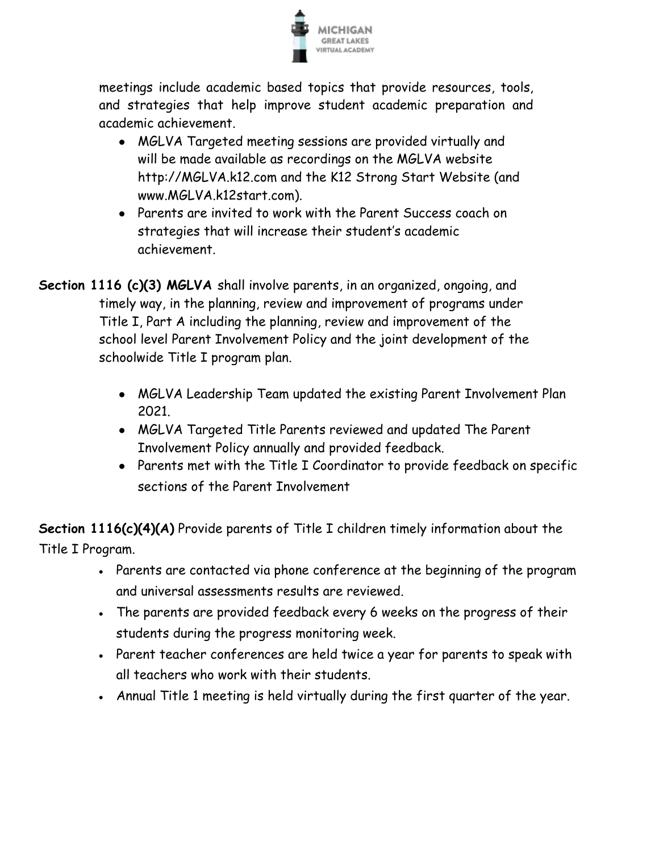

meetings include academic based topics that provide resources, tools, and strategies that help improve student academic preparation and academic achievement.

- MGLVA Targeted meeting sessions are provided virtually and will be made available as recordings on the MGLVA website [http://MGLVA.k12.com a](http://mglva.k12.com/)nd the K12 Strong Start Website (and www.MGLVA.k12start.com).
- Parents are invited to work with the Parent Success coach on strategies that will increase their student's academic achievement.
- **Section 1116 (c)(3) MGLVA** shall involve parents, in an organized, ongoing, and timely way, in the planning, review and improvement of programs under Title I, Part A including the planning, review and improvement of the school level Parent Involvement Policy and the joint development of the schoolwide Title I program plan.
	- MGLVA Leadership Team updated the existing Parent Involvement Plan 2021.
	- MGLVA Targeted Title Parents reviewed and updated The Parent Involvement Policy annually and provided feedback.
	- Parents met with the Title I Coordinator to provide feedback on specific sections of the Parent Involvement

**Section 1116(c)(4)(A)** Provide parents of Title I children timely information about the Title I Program.

- Parents are contacted via phone conference at the beginning of the program and universal assessments results are reviewed.
- The parents are provided feedback every 6 weeks on the progress of their students during the progress monitoring week.
- Parent teacher conferences are held twice a year for parents to speak with all teachers who work with their students.
- Annual Title 1 meeting is held virtually during the first quarter of the year.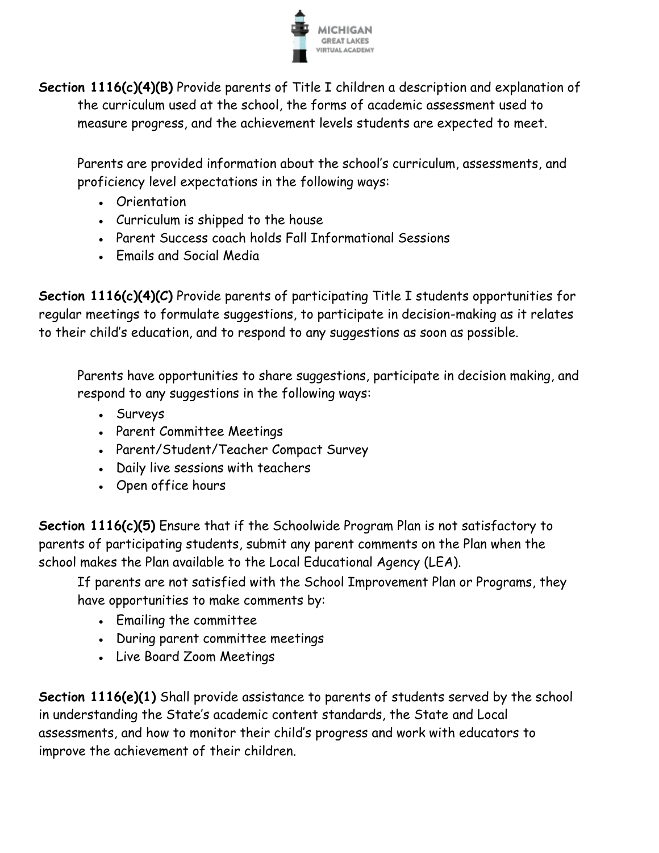

**Section 1116(c)(4)(B)** Provide parents of Title I children a description and explanation of the curriculum used at the school, the forms of academic assessment used to measure progress, and the achievement levels students are expected to meet.

Parents are provided information about the school's curriculum, assessments, and proficiency level expectations in the following ways:

- Orientation
- Curriculum is shipped to the house
- Parent Success coach holds Fall Informational Sessions
- Emails and Social Media

**Section 1116(c)(4)(C)** Provide parents of participating Title I students opportunities for regular meetings to formulate suggestions, to participate in decision-making as it relates to their child's education, and to respond to any suggestions as soon as possible.

Parents have opportunities to share suggestions, participate in decision making, and respond to any suggestions in the following ways:

- Surveys
- Parent Committee Meetings
- Parent/Student/Teacher Compact Survey
- Daily live sessions with teachers
- Open office hours

**Section 1116(c)(5)** Ensure that if the Schoolwide Program Plan is not satisfactory to parents of participating students, submit any parent comments on the Plan when the school makes the Plan available to the Local Educational Agency (LEA).

If parents are not satisfied with the School Improvement Plan or Programs, they have opportunities to make comments by:

- Emailing the committee
- During parent committee meetings
- Live Board Zoom Meetings

**Section 1116(e)(1)** Shall provide assistance to parents of students served by the school in understanding the State's academic content standards, the State and Local assessments, and how to monitor their child's progress and work with educators to improve the achievement of their children.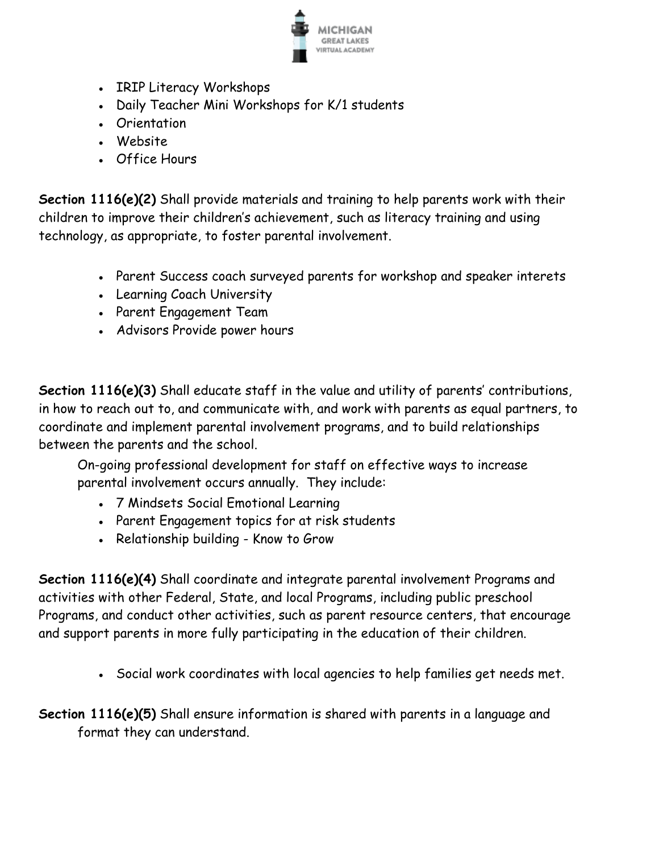

- IRIP Literacy Workshops
- Daily Teacher Mini Workshops for K/1 students
- Orientation
- Website
- Office Hours

**Section 1116(e)(2)** Shall provide materials and training to help parents work with their children to improve their children's achievement, such as literacy training and using technology, as appropriate, to foster parental involvement.

- Parent Success coach surveyed parents for workshop and speaker interets
- Learning Coach University
- Parent Engagement Team
- Advisors Provide power hours

**Section 1116(e)(3)** Shall educate staff in the value and utility of parents' contributions, in how to reach out to, and communicate with, and work with parents as equal partners, to coordinate and implement parental involvement programs, and to build relationships between the parents and the school.

On-going professional development for staff on effective ways to increase parental involvement occurs annually. They include:

- 7 Mindsets Social Emotional Learning
- Parent Engagement topics for at risk students
- Relationship building Know to Grow

**Section 1116(e)(4)** Shall coordinate and integrate parental involvement Programs and activities with other Federal, State, and local Programs, including public preschool Programs, and conduct other activities, such as parent resource centers, that encourage and support parents in more fully participating in the education of their children.

• Social work coordinates with local agencies to help families get needs met.

**Section 1116(e)(5)** Shall ensure information is shared with parents in a language and format they can understand.